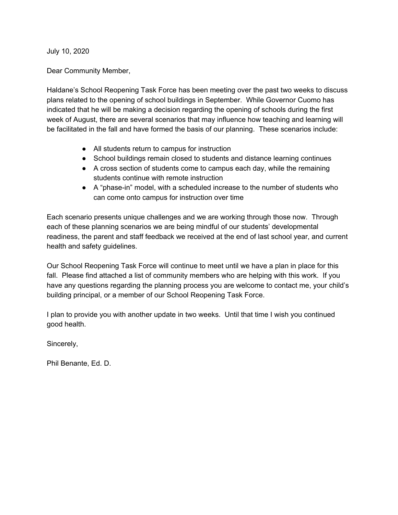July 10, 2020

Dear Community Member,

Haldane's School Reopening Task Force has been meeting over the past two weeks to discuss plans related to the opening of school buildings in September. While Governor Cuomo has indicated that he will be making a decision regarding the opening of schools during the first week of August, there are several scenarios that may influence how teaching and learning will be facilitated in the fall and have formed the basis of our planning. These scenarios include:

- All students return to campus for instruction
- School buildings remain closed to students and distance learning continues
- A cross section of students come to campus each day, while the remaining students continue with remote instruction
- A "phase-in" model, with a scheduled increase to the number of students who can come onto campus for instruction over time

Each scenario presents unique challenges and we are working through those now. Through each of these planning scenarios we are being mindful of our students' developmental readiness, the parent and staff feedback we received at the end of last school year, and current health and safety guidelines.

Our School Reopening Task Force will continue to meet until we have a plan in place for this fall. Please find attached a list of community members who are helping with this work. If you have any questions regarding the planning process you are welcome to contact me, your child's building principal, or a member of our School Reopening Task Force.

I plan to provide you with another update in two weeks. Until that time I wish you continued good health.

Sincerely,

Phil Benante, Ed. D.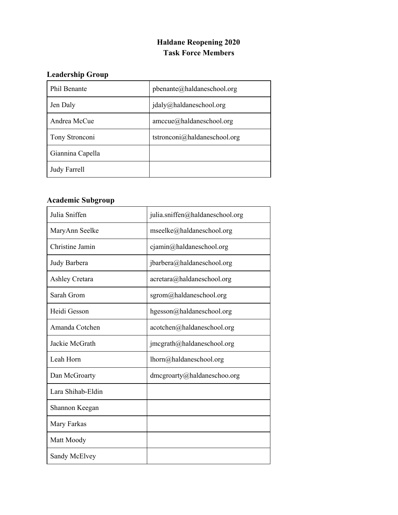## **Haldane Reopening 2020 Task Force Members**

# **Leadership Group**

| Phil Benante        | pbenante@haldaneschool.org           |
|---------------------|--------------------------------------|
| Jen Daly            | $j$ daly@haldaneschool.org           |
| Andrea McCue        | $\text{amccue}(a)$ haldaneschool.org |
| Tony Stronconi      | tstronconi@haldaneschool.org         |
| Giannina Capella    |                                      |
| <b>Judy Farrell</b> |                                      |

# **Academic Subgroup**

| Julia Sniffen         | julia.sniffen@haldaneschool.org |
|-----------------------|---------------------------------|
| MaryAnn Seelke        | mseelke@haldaneschool.org       |
| Christine Jamin       | cjamin@haldaneschool.org        |
| Judy Barbera          | jbarbera@haldaneschool.org      |
| <b>Ashley Cretara</b> | acretara@haldaneschool.org      |
| Sarah Grom            | sgrom@haldaneschool.org         |
| Heidi Gesson          | hgesson@haldaneschool.org       |
| Amanda Cotchen        | acotchen@haldaneschool.org      |
| Jackie McGrath        | jmcgrath@haldaneschool.org      |
| Leah Horn             | lhorn@haldaneschool.org         |
| Dan McGroarty         | dmcgroarty@haldaneschoo.org     |
| Lara Shihab-Eldin     |                                 |
| Shannon Keegan        |                                 |
| Mary Farkas           |                                 |
| Matt Moody            |                                 |
| Sandy McElvey         |                                 |